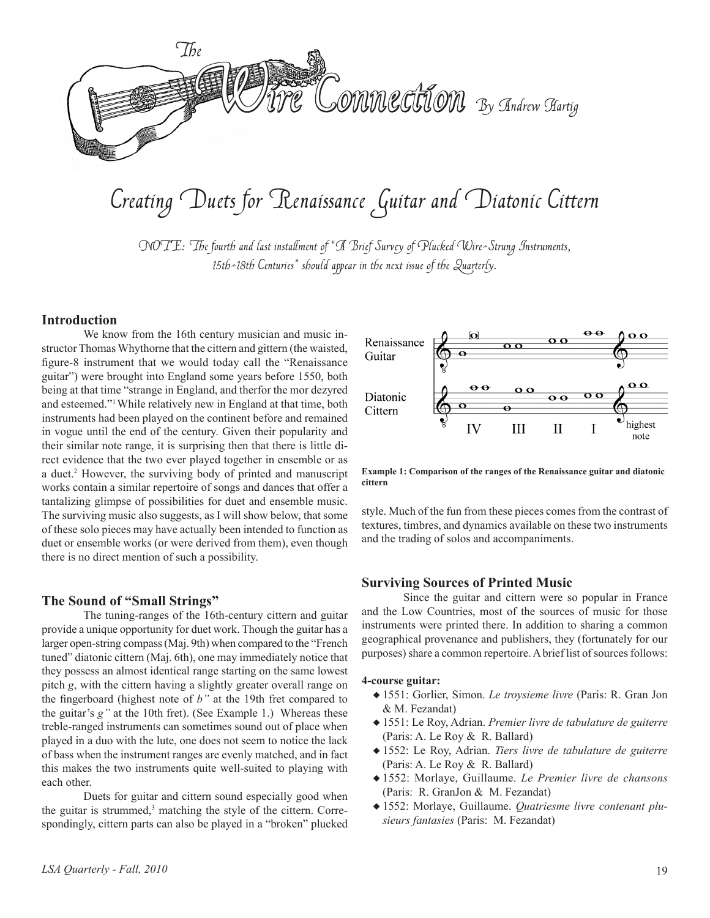

# Creating Duets for Renaissance Guitar and Diatonic Cittern

NOTE: The fourth and last installment of "A Brief Survey of Plucked Wire-Strung Instruments, 15th-18th Centuries" should appear in the next issue of the Quarterly.

#### **Introduction**

 We know from the 16th century musician and music instructor Thomas Whythorne that the cittern and gittern (the waisted, figure-8 instrument that we would today call the "Renaissance guitar") were brought into England some years before 1550, both being at that time "strange in England, and therfor the mor dezyred and esteemed."1While relatively new in England at that time, both instruments had been played on the continent before and remained in vogue until the end of the century. Given their popularity and their similar note range, it is surprising then that there is little direct evidence that the two ever played together in ensemble or as a duet.2 However, the surviving body of printed and manuscript works contain a similar repertoire of songs and dances that offer a tantalizing glimpse of possibilities for duet and ensemble music. The surviving music also suggests, as I will show below, that some of these solo pieces may have actually been intended to function as duet or ensemble works (or were derived from them), even though there is no direct mention of such a possibility.

#### **The Sound of "Small Strings"**

 The tuning-ranges of the 16th-century cittern and guitar provide a unique opportunity for duet work. Though the guitar has a larger open-string compass(Maj. 9th) when compared to the "French tuned" diatonic cittern (Maj. 6th), one may immediately notice that they possess an almost identical range starting on the same lowest pitch *g*, with the cittern having a slightly greater overall range on the fingerboard (highest note of *b"* at the 19th fret compared to the guitar's *g"* at the 10th fret). (See Example 1.) Whereas these treble-ranged instruments can sometimes sound out of place when played in a duo with the lute, one does not seem to notice the lack of bass when the instrument ranges are evenly matched, and in fact this makes the two instruments quite well-suited to playing with each other.

 Duets for guitar and cittern sound especially good when the guitar is strummed, $3$  matching the style of the cittern. Correspondingly, cittern parts can also be played in a "broken" plucked



**Example 1: Comparison of the ranges of the Renaissance guitar and diatonic cittern**

style. Much of the fun from these pieces comes from the contrast of textures, timbres, and dynamics available on these two instruments and the trading of solos and accompaniments.

#### **Surviving Sources of Printed Music**

 Since the guitar and cittern were so popular in France and the Low Countries, most of the sources of music for those instruments were printed there. In addition to sharing a common geographical provenance and publishers, they (fortunately for our purposes) share a common repertoire. A brief list of sources follows:

#### **4-course guitar:**

- u 1551: Gorlier, Simon. *Le troysieme livre* (Paris: R. Gran Jon & M. Fezandat)
- ◆ 1551: Le Roy, Adrian. *Premier livre de tabulature de guiterre* (Paris: A. Le Roy & R. Ballard)
- u 1552: Le Roy, Adrian. *Tiers livre de tabulature de guiterre*  (Paris: A. Le Roy & R. Ballard)
- u 1552: Morlaye, Guillaume. *Le Premier livre de chansons* (Paris: R. GranJon & M. Fezandat)
- u 1552: Morlaye, Guillaume. *Quatriesme livre contenant plusieurs fantasies* (Paris: M. Fezandat)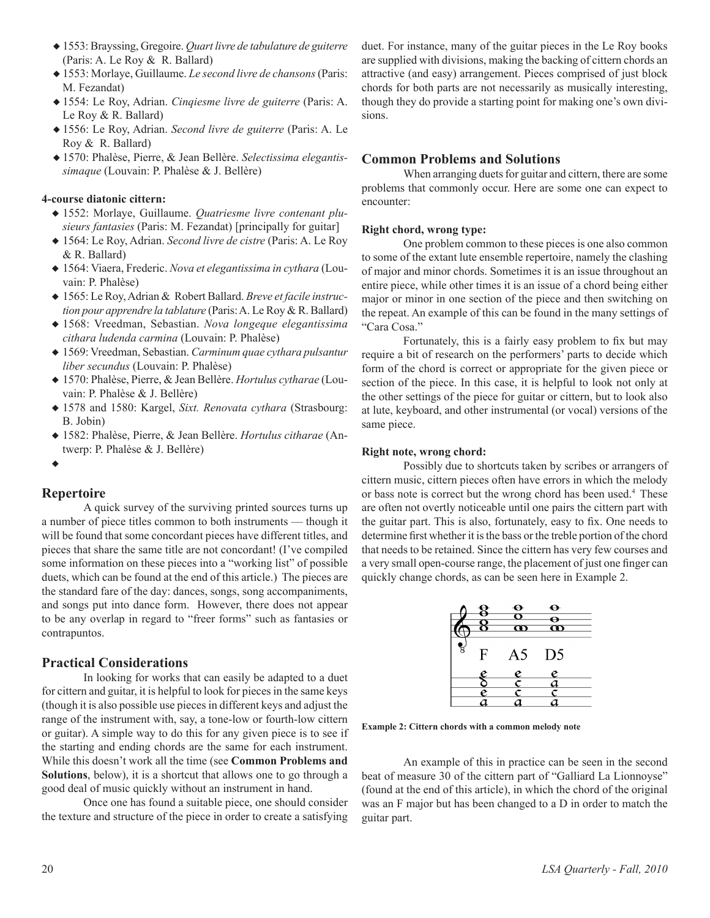- u 1553: Brayssing, Gregoire. *Quart livre de tabulature de guiterre*  (Paris: A. Le Roy & R. Ballard)
- ◆ 1553: Morlaye, Guillaume. *Le second livre de chansons* (Paris: M. Fezandat)
- u 1554: Le Roy, Adrian. *Cinqiesme livre de guiterre* (Paris: A. Le Roy & R. Ballard)
- u 1556: Le Roy, Adrian. *Second livre de guiterre* (Paris: A. Le Roy & R. Ballard)
- u 1570: Phalèse, Pierre, & Jean Bellère. *Selectissima elegantissimaque* (Louvain: P. Phalèse & J. Bellère)

#### **4-course diatonic cittern:**

- u 1552: Morlaye, Guillaume. *Quatriesme livre contenant plusieurs fantasies* (Paris: M. Fezandat) [principally for guitar]
- u 1564: Le Roy, Adrian. *Second livre de cistre* (Paris: A. Le Roy & R. Ballard)
- u 1564: Viaera, Frederic. *Nova et elegantissima in cythara* (Louvain: P. Phalèse)
- ◆ 1565: Le Roy, Adrian & Robert Ballard. *Breve et facile instruction pour apprendre la tablature* (Paris:A. Le Roy & R. Ballard)
- u 1568: Vreedman, Sebastian. *Nova longeque elegantissima cithara ludenda carmina* (Louvain: P. Phalèse)
- u 1569: Vreedman, Sebastian. *Carminum quae cythara pulsantur liber secundus* (Louvain: P. Phalèse)
- u 1570: Phalèse, Pierre, & Jean Bellère. *Hortulus cytharae* (Louvain: P. Phalèse & J. Bellère)
- u 1578 and 1580: Kargel, *Sixt. Renovata cythara* (Strasbourg: B. Jobin)
- u 1582: Phalèse, Pierre, & Jean Bellère. *Hortulus citharae* (Antwerp: P. Phalèse & J. Bellère)
- $\bullet$

### **Repertoire**

 A quick survey of the surviving printed sources turns up a number of piece titles common to both instruments –– though it will be found that some concordant pieces have different titles, and pieces that share the same title are not concordant! (I've compiled some information on these pieces into a "working list" of possible duets, which can be found at the end of this article.) The pieces are the standard fare of the day: dances, songs, song accompaniments, and songs put into dance form. However, there does not appear to be any overlap in regard to "freer forms" such as fantasies or contrapuntos.

#### **Practical Considerations**

 In looking for works that can easily be adapted to a duet for cittern and guitar, it is helpful to look for piecesin the same keys (though it is also possible use piecesin different keys and adjust the range of the instrument with, say, a tone-low or fourth-low cittern or guitar). A simple way to do this for any given piece is to see if the starting and ending chords are the same for each instrument. While this doesn't work all the time (see **Common Problems and Solutions**, below), it is a shortcut that allows one to go through a good deal of music quickly without an instrument in hand.

 Once one has found a suitable piece, one should consider the texture and structure of the piece in order to create a satisfying duet. For instance, many of the guitar pieces in the Le Roy books are supplied with divisions, making the backing of cittern chords an attractive (and easy) arrangement. Pieces comprised of just block chords for both parts are not necessarily as musically interesting, though they do provide a starting point for making one's own divisions.

### **Common Problems and Solutions**

When arranging duets for guitar and cittern, there are some problems that commonly occur. Here are some one can expect to encounter:

#### **Right chord, wrong type:**

One problem common to these pieces is one also common to some of the extant lute ensemble repertoire, namely the clashing of major and minor chords. Sometimes it is an issue throughout an entire piece, while other times it is an issue of a chord being either major or minor in one section of the piece and then switching on the repeat. An example of this can be found in the many settings of "Cara Cosa."

 Fortunately, this is a fairly easy problem to fix but may require a bit of research on the performers' parts to decide which form of the chord is correct or appropriate for the given piece or section of the piece. In this case, it is helpful to look not only at the other settings of the piece for guitar or cittern, but to look also at lute, keyboard, and other instrumental (or vocal) versions of the same piece.

#### **Right note, wrong chord:**

 Possibly due to shortcuts taken by scribes or arrangers of cittern music, cittern pieces often have errors in which the melody or bass note is correct but the wrong chord has been used.<sup>4</sup> These are often not overtly noticeable until one pairs the cittern part with the guitar part. This is also, fortunately, easy to fix. One needs to determine first whether it is the bass or the treble portion of the chord that needs to be retained. Since the cittern has very few courses and a very small open-course range, the placement of just one finger can quickly change chords, as can be seen here in Example 2.

|                | $\bullet$<br>$\boldsymbol{\alpha}$ | ↔<br>ത         |  |
|----------------|------------------------------------|----------------|--|
| $\mathbf{F}$   | A5                                 | D <sub>5</sub> |  |
| e              | $\frac{e}{c}$                      | $\frac{e}{a}$  |  |
| $\overline{e}$ | $\overline{\mathsf{c}}$            |                |  |
|                |                                    |                |  |

**Example 2: Cittern chords with a common melody note**

 An example of this in practice can be seen in the second beat of measure 30 of the cittern part of "Galliard La Lionnoyse" (found at the end of this article), in which the chord of the original was an F major but has been changed to a D in order to match the guitar part.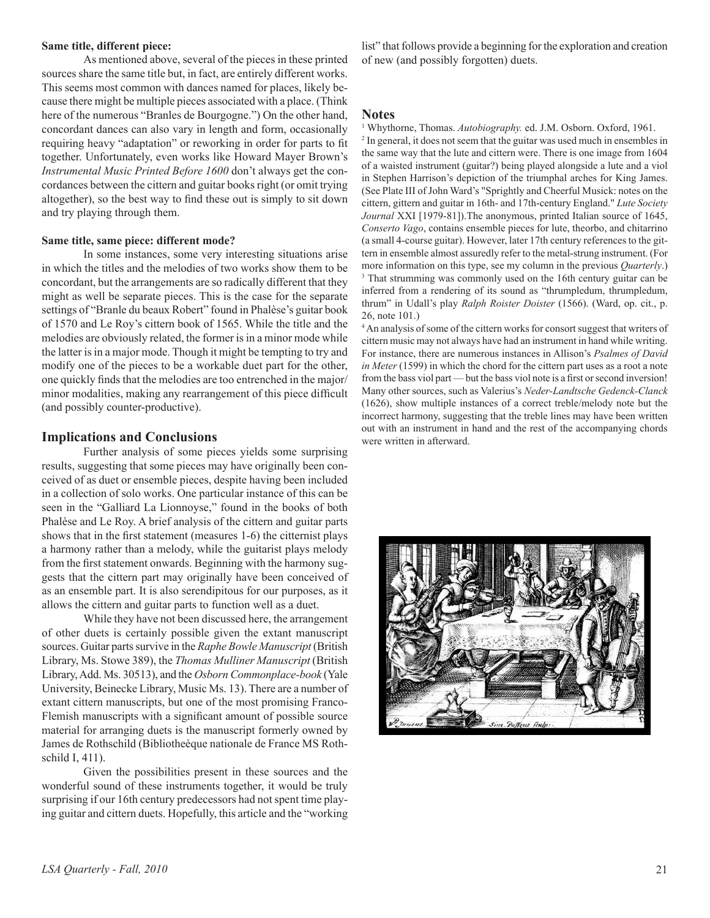#### **Same title, different piece:**

 As mentioned above, several of the pieces in these printed sources share the same title but, in fact, are entirely different works. This seems most common with dances named for places, likely because there might be multiple pieces associated with a place. (Think here of the numerous "Branles de Bourgogne.") On the other hand, concordant dances can also vary in length and form, occasionally requiring heavy "adaptation" or reworking in order for parts to fit together. Unfortunately, even works like Howard Mayer Brown's *Instrumental Music Printed Before 1600* don't always get the concordances between the cittern and guitar booksright (or omit trying altogether), so the best way to find these out is simply to sit down and try playing through them.

#### **Same title, same piece: different mode?**

 In some instances, some very interesting situations arise in which the titles and the melodies of two works show them to be concordant, but the arrangements are so radically different that they might as well be separate pieces. This is the case for the separate settings of "Branle du beaux Robert" found in Phalèse's guitar book of 1570 and Le Roy's cittern book of 1565. While the title and the melodies are obviously related, the former is in a minor mode while the latter is in a major mode. Though it might be tempting to try and modify one of the pieces to be a workable duet part for the other, one quickly finds that the melodies are too entrenched in the major/ minor modalities, making any rearrangement of this piece difficult (and possibly counter-productive).

#### **Implications and Conclusions**

 Further analysis of some pieces yields some surprising results, suggesting that some pieces may have originally been conceived of as duet or ensemble pieces, despite having been included in a collection of solo works. One particular instance of this can be seen in the "Galliard La Lionnoyse," found in the books of both Phalèse and Le Roy. A brief analysis of the cittern and guitar parts shows that in the first statement (measures 1-6) the citternist plays a harmony rather than a melody, while the guitarist plays melody from the first statement onwards. Beginning with the harmony suggests that the cittern part may originally have been conceived of as an ensemble part. It is also serendipitous for our purposes, as it allows the cittern and guitar parts to function well as a duet.

 While they have not been discussed here, the arrangement of other duets is certainly possible given the extant manuscript sources. Guitar parts survive in the *Raphe Bowle Manuscript* (British Library, Ms. Stowe 389), the *Thomas Mulliner Manuscript* (British Library,Add. Ms. 30513), and the *Osborn Commonplace-book* (Yale University, Beinecke Library, Music Ms. 13). There are a number of extant cittern manuscripts, but one of the most promising Franco-Flemish manuscripts with a significant amount of possible source material for arranging duets is the manuscript formerly owned by James de Rothschild (Bibliotheèque nationale de France MS Rothschild I, 411).

 Given the possibilities present in these sources and the wonderful sound of these instruments together, it would be truly surprising if our 16th century predecessors had not spent time playing guitar and cittern duets. Hopefully, this article and the "working

list" that follows provide a beginning for the exploration and creation of new (and possibly forgotten) duets.

#### **Notes**

<sup>1</sup> Whythorne, Thomas. *Autobiography.* ed. J.M. Osborn. Oxford, 1961.

<sup>2</sup> In general, it does not seem that the guitar was used much in ensembles in the same way that the lute and cittern were. There is one image from 1604 of a waisted instrument (guitar?) being played alongside a lute and a viol in Stephen Harrison's depiction of the triumphal arches for King James. (See Plate III of John Ward's "Sprightly and Cheerful Musick: notes on the cittern, gittern and guitar in 16th- and 17th-century England." *Lute Society Journal* XXI [1979-81]).The anonymous, printed Italian source of 1645, *Conserto Vago*, contains ensemble pieces for lute, theorbo, and chitarrino (a small 4-course guitar). However, later 17th century references to the gittern in ensemble almost assuredly refer to the metal-strung instrument. (For more information on this type, see my column in the previous *Quarterly*.) <sup>3</sup> That strumming was commonly used on the 16th century guitar can be inferred from a rendering of its sound as "thrumpledum, thrumpledum, thrum" in Udall's play *Ralph Roister Doister* (1566). (Ward, op. cit., p. 26, note 101.)

<sup>4</sup> An analysis of some of the cittern works for consort suggest that writers of cittern music may not always have had an instrument in hand while writing. For instance, there are numerous instances in Allison's *Psalmes of David in Meter* (1599) in which the chord for the cittern part uses as a root a note from the bass viol part — but the bass viol note is a first or second inversion! Many other sources, such as Valerius's *Neder-Landtsche Gedenck-Clanck* (1626), show multiple instances of a correct treble/melody note but the incorrect harmony, suggesting that the treble lines may have been written out with an instrument in hand and the rest of the accompanying chords were written in afterward.

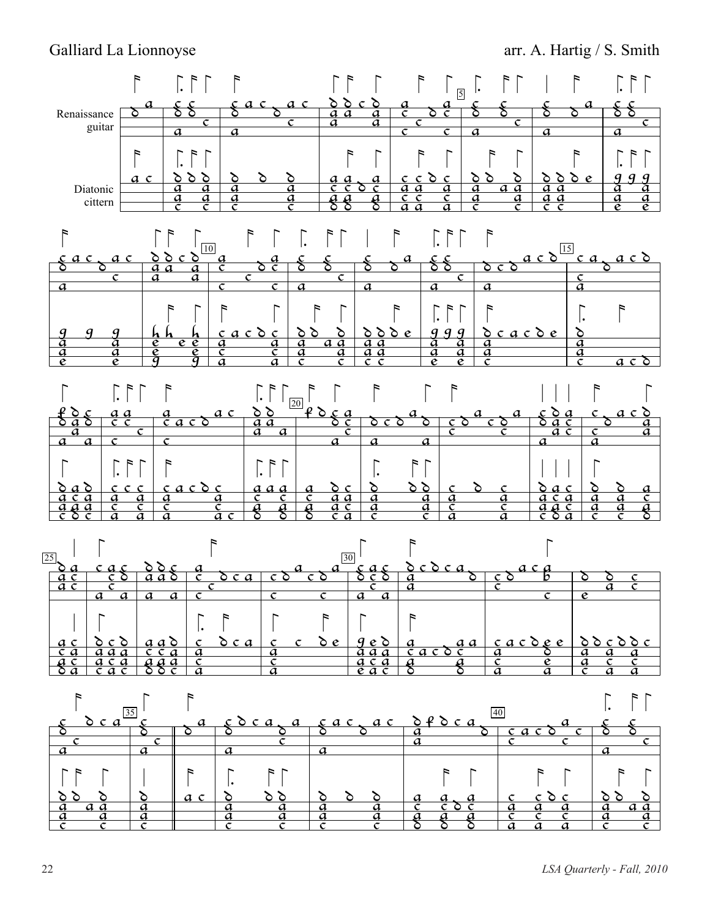## Galliard La Lionnoyse **arr.** A. Hartig / S. Smith







22 *LSA Quarterly - Fall, 2010*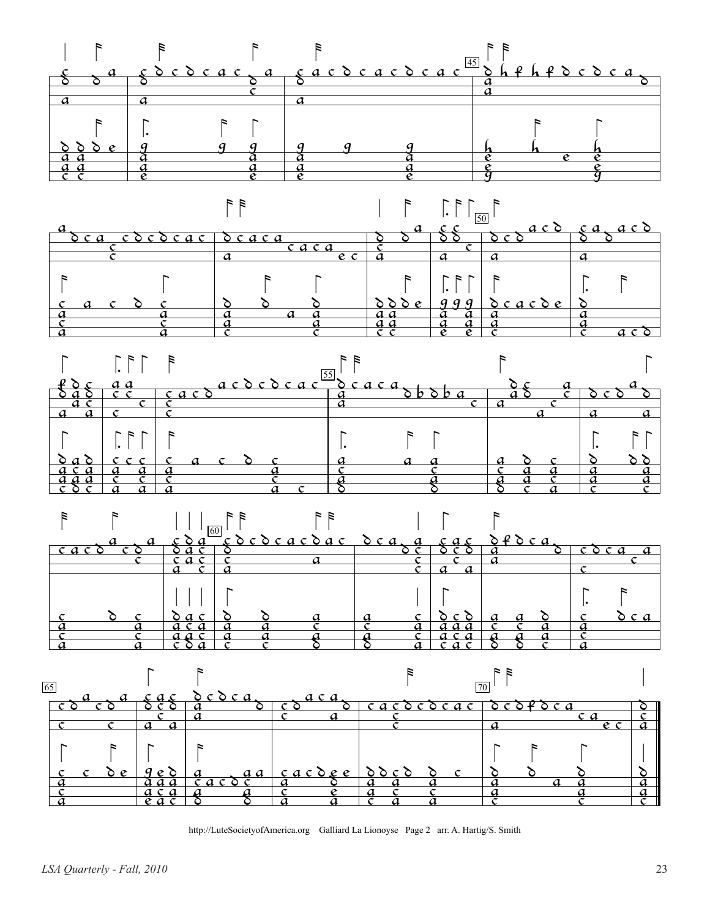









http://LuteSocietyofAmerica.org Galliard La Lionoyse Page 2 arr. A. Hartig/S. Smith